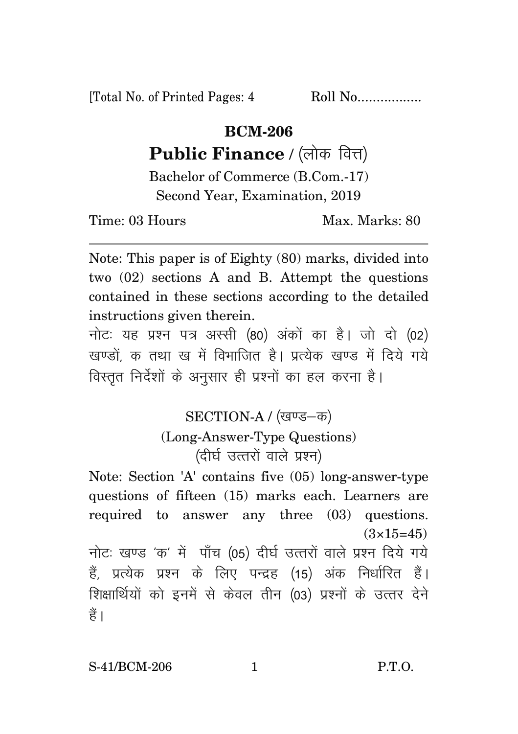[Total No. of Printed Pages: 4 Roll No.................

## **BCM-206**

## Public Finance / (लोक वित्त)

Bachelor of Commerce (B.Com.-17) Second Year, Examination, 2019

Time: 03 Hours Max. Marks: 80

Note: This paper is of Eighty (80) marks, divided into two (02) sections A and B. Attempt the questions contained in these sections according to the detailed instructions given therein.

नोट: यह प्रश्न पत्र अस्सी (80) अंकों का है। जो दो (02) खण्डों क तथा ख में विभाजित है। प्रत्येक खण्ड में दिये गये विस्तृत निर्देशों के अनुसार ही प्रश्नों का हल करना है।

> SECTION-A / (खण्ड-क) (Long-Answer-Type Questions) (दीर्घ उत्तरों वाले प्रश्न)

Note: Section 'A' contains five (05) long-answer-type questions of fifteen (15) marks each. Learners are required to answer any three (03) questions.  $(3\times15=45)$ 

नोट: खण्ड 'क' में पाँच (05) दीर्घ उत्तरों वाले प्रश्न दिये गये हैं, प्रत्येक प्रश्न के लिए पन्द्रह (15) अंक निर्धारित हैं। शिक्षार्थियों को इनमें से केवल तीन (03) प्रश्नों के उत्तर देने हैं।

S-41/BCM-206 1 P.T.O.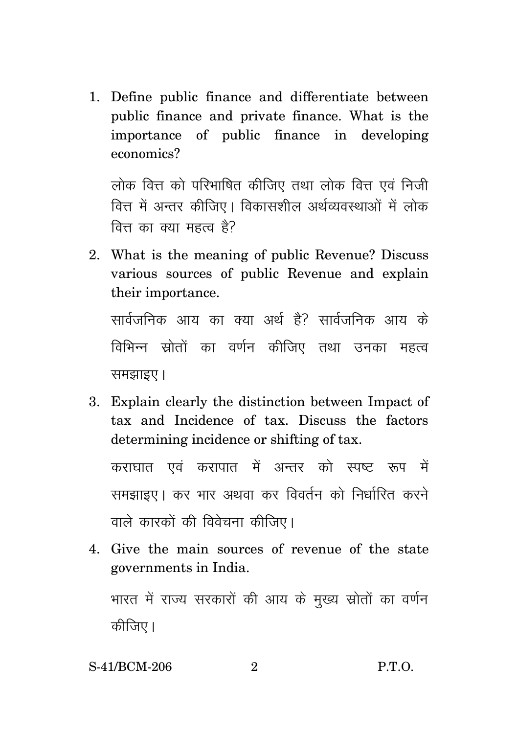1. Define public finance and differentiate between public finance and private finance. What is the importance of public finance in developing economics?

लोक वित्त को परिभाषित कीजिए तथा लोक वित्त एवं निजी वित्त में अन्तर कीजिए। विकासशील अर्थव्यवस्थाओं में लोक वित्त का क्या महत्व है?

2. What is the meaning of public Revenue? Discuss various sources of public Revenue and explain their importance.

सार्वजनिक आय का क्या अर्थ है? सार्वजनिक आय के विभिन्न स्रोतों का वर्णन कीजिए तथा उनका महत्व समझाइए।

3. Explain clearly the distinction between Impact of tax and Incidence of tax. Discuss the factors determining incidence or shifting of tax.

कराघात एवं करापात में अन्तर को स्पष्ट रूप में समझाइए। कर भार अथवा कर विवर्तन को निर्धारित करने वाले कारकों की विवेचना कीजिए।

4. Give the main sources of revenue of the state governments in India.

भारत में राज्य सरकारों की आय के मुख्य स्रोतों का वर्णन कीजिए।

S-41/BCM-206  $P.T.O.$  $\overline{2}$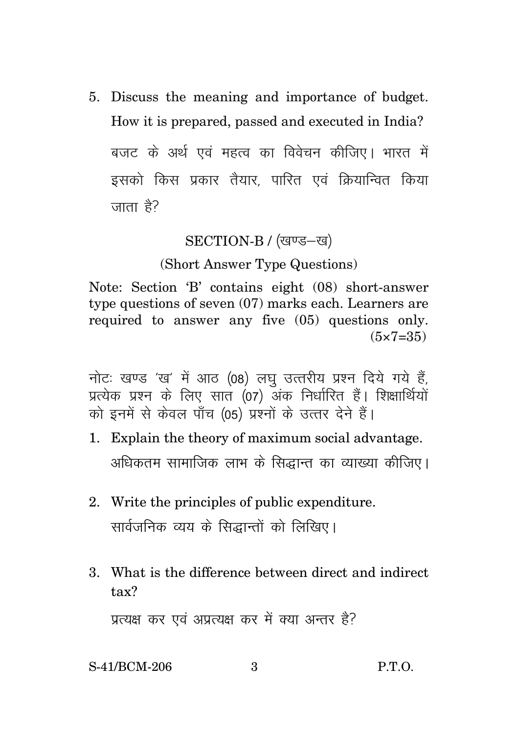5. Discuss the meaning and importance of budget. How it is prepared, passed and executed in India? बजट के अर्थ एवं महत्व का विवेचन कीजिए। भारत में इसको किस प्रकार तैयार पारित एवं क्रियान्वित किया जाता है?

## SECTION-B / (खण्ड-ख)

## (Short Answer Type Questions)

Note: Section 'B' contains eight (08) short-answer type questions of seven  $(07)$  marks each. Learners are required to answer any five (05) questions only.  $(5 \times 7 = 35)$ 

नोट: खण्ड 'ख' में आठ (08) लघ उत्तरीय प्रश्न दिये गये हैं. प्रत्येक प्रश्न के लिए सात (07) अंक निर्धारित हैं। शिक्षार्थियों को इनमें से केवल पाँच (05) प्रश्नों के उत्तर देने हैं।

- 1. Explain the theory of maximum social advantage. अधिकतम सामाजिक लाभ के सिद्धान्त का व्याख्या कीजिए।
- 2. Write the principles of public expenditure. सार्वजनिक व्यय के सिद्धान्तों को लिखिए।
- 3. What is the difference between direct and indirect  $\text{tax}^2$

प्रत्यक्ष कर एवं अप्रत्यक्ष कर में क्या अन्तर है?

S-41/BCM-206  $P.T.O.$  $\mathcal{S}$